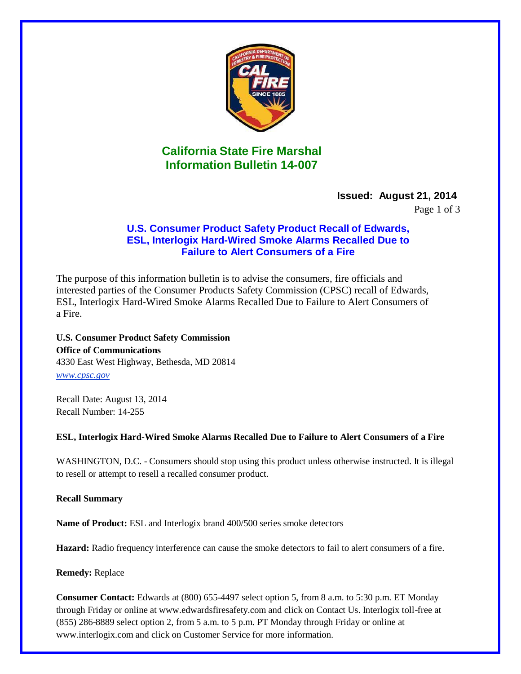

# **California State Fire Marshal Information Bulletin 14-007**

## **Issued: August 21, 2014**

Page 1 of 3

## **U.S. Consumer Product Safety Product Recall of Edwards, ESL, Interlogix Hard-Wired Smoke Alarms Recalled Due to Failure to Alert Consumers of a Fire**

The purpose of this information bulletin is to advise the consumers, fire officials and interested parties of the Consumer Products Safety Commission (CPSC) recall of Edwards, ESL, Interlogix Hard-Wired Smoke Alarms Recalled Due to Failure to Alert Consumers of a Fire.

**U.S. Consumer Product Safety Commission Office of Communications** 4330 East West Highway, Bethesda, MD 20814 *[www.cpsc.gov](http://www.cpsc.gov/)*

Recall Date: August 13, 2014 Recall Number: 14-255

**ESL, Interlogix Hard-Wired Smoke Alarms Recalled Due to Failure to Alert Consumers of a Fire**

WASHINGTON, D.C. - Consumers should stop using this product unless otherwise instructed. It is illegal to resell or attempt to resell a recalled consumer product.

**Recall Summary**

**Name of Product:** ESL and Interlogix brand 400/500 series smoke detectors

**Hazard:** Radio frequency interference can cause the smoke detectors to fail to alert consumers of a fire.

**Remedy:** Replace

**Consumer Contact:** Edwards at (800) 655-4497 select option 5, from 8 a.m. to 5:30 p.m. ET Monday through Friday or online at [www.edwardsfiresafety.com a](http://www.edwardsfiresafety.com/)nd click on Contact Us. Interlogix toll-free at (855) 286-8889 select option 2, from 5 a.m. to 5 p.m. PT Monday through Friday or online a[t](http://www.interlogix.com/) [www.interlogix.com a](http://www.interlogix.com/)nd click on Customer Service for more information.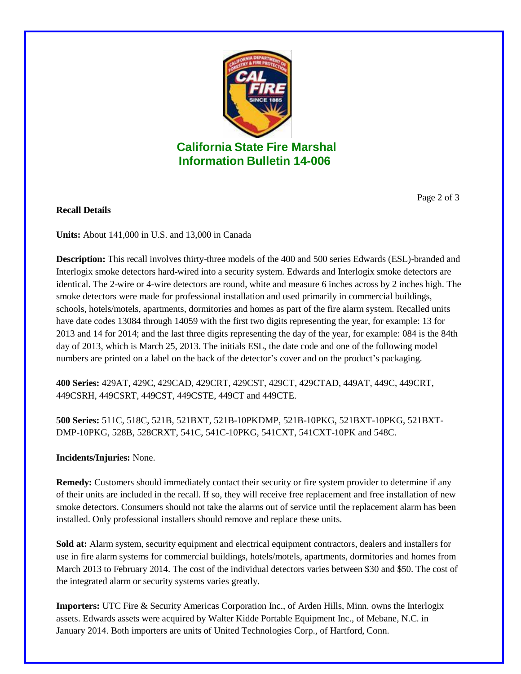

## **California State Fire Marshal Information Bulletin 14-006**

Page 2 of 3

### **Recall Details**

**Units:** About 141,000 in U.S. and 13,000 in Canada

**Description:** This recall involves thirty-three models of the 400 and 500 series Edwards (ESL)-branded and Interlogix smoke detectors hard-wired into a security system. Edwards and Interlogix smoke detectors are identical. The 2-wire or 4-wire detectors are round, white and measure 6 inches across by 2 inches high. The smoke detectors were made for professional installation and used primarily in commercial buildings, schools, hotels/motels, apartments, dormitories and homes as part of the fire alarm system. Recalled units have date codes 13084 through 14059 with the first two digits representing the year, for example: 13 for 2013 and 14 for 2014; and the last three digits representing the day of the year, for example: 084 is the 84th day of 2013, which is March 25, 2013. The initials ESL, the date code and one of the following model numbers are printed on a label on the back of the detector's cover and on the product's packaging.

**400 Series:** 429AT, 429C, 429CAD, 429CRT, 429CST, 429CT, 429CTAD, 449AT, 449C, 449CRT, 449CSRH, 449CSRT, 449CST, 449CSTE, 449CT and 449CTE.

**500 Series:** 511C, 518C, 521B, 521BXT, 521B-10PKDMP, 521B-10PKG, 521BXT-10PKG, 521BXT-DMP-10PKG, 528B, 528CRXT, 541C, 541C-10PKG, 541CXT, 541CXT-10PK and 548C.

#### **Incidents/Injuries:** None.

**Remedy:** Customers should immediately contact their security or fire system provider to determine if any of their units are included in the recall. If so, they will receive free replacement and free installation of new smoke detectors. Consumers should not take the alarms out of service until the replacement alarm has been installed. Only professional installers should remove and replace these units.

**Sold at:** Alarm system, security equipment and electrical equipment contractors, dealers and installers for use in fire alarm systems for commercial buildings, hotels/motels, apartments, dormitories and homes from March 2013 to February 2014. The cost of the individual detectors varies between \$30 and \$50. The cost of the integrated alarm or security systems varies greatly.

**Importers:** UTC Fire & Security Americas Corporation Inc., of Arden Hills, Minn. owns the Interlogix assets. Edwards assets were acquired by Walter Kidde Portable Equipment Inc., of Mebane, N.C. in January 2014. Both importers are units of United Technologies Corp., of Hartford, Conn.